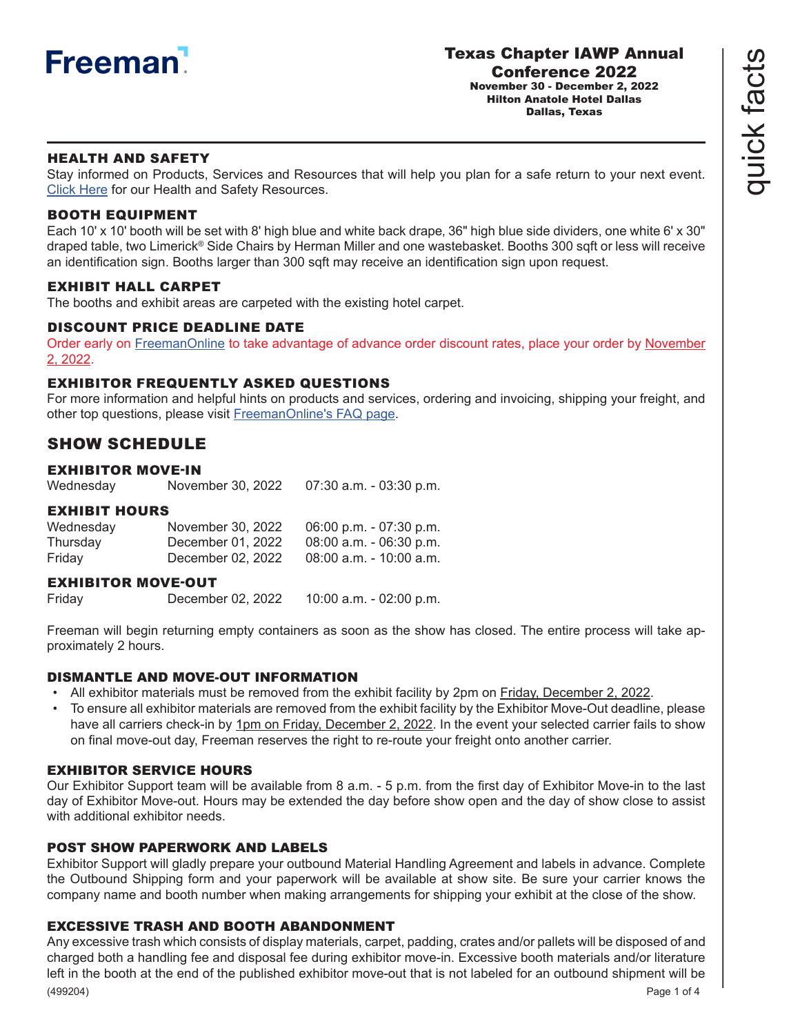

quick facts

quick facts

## HEALTH AND SAFETY

Stay informed on Products, Services and Resources that will help you plan for a safe return to your next event. [Click Here](https://content.freemanco.com/documents/40003/151241/Exhibitor+COVID+Resources/2644c341-2880-41d2-86ec-6e2dfde2db55) for our Health and Safety Resources.

### BOOTH EQUIPMENT

Each 10' x 10' booth will be set with 8' high blue and white back drape, 36" high blue side dividers, one white 6' x 30" draped table, two Limerick® Side Chairs by Herman Miller and one wastebasket. Booths 300 sqft or less will receive an identification sign. Booths larger than 300 sqft may receive an identification sign upon request.

## EXHIBIT HALL CARPE[T](https://s3.amazonaws.com/freeman-craft-assets/resources/Exhibitor-FAQ-Preshow.pdf)

The booths and exhibit areas are carpeted with the existing hotel carpet.

#### DISCOUNT PRICE DEADLINE DATE

Order early on [FreemanOnline](https://www.freemanco.com/store?utm_source=Forms&utm_medium=PDF) to take advantage of advance order discount rates, place your order by November 2, 2022.

## EXHIBITOR FREQUENTLY ASKED QUESTIONS

For more information and helpful hints on products and services, ordering and invoicing, shipping your freight, and other top questions, please visit [FreemanOnline's FAQ page](https://www.freemanco.com/store/faqs).

# SHOW SCHEDULE

### EXHIBITOR MOVE-IN

Wednesday November 30, 2022 07:30 a.m. - 03:30 p.m.

### EXHIBIT HOURS

| Wednesday | November 30, 2022 | 06:00 p.m. $-07:30$ p.m.   |
|-----------|-------------------|----------------------------|
| Thursday  | December 01, 2022 | $08:00$ a.m. $-06:30$ p.m. |
| Friday    | December 02, 2022 | 08:00 a.m. - 10:00 a.m.    |

#### EXHIBITOR MOVE-OUT

Friday December 02, 2022 10:00 a.m. - 02:00 p.m.

Freeman will begin returning empty containers as soon as the show has closed. The entire process will take approximately 2 hours.

### DISMANTLE AND MOVE-OUT INFORMATION

- All exhibitor materials must be removed from the exhibit facility by 2pm on Friday, December 2, 2022.
- To ensure all exhibitor materials are removed from the exhibit facility by the Exhibitor Move-Out deadline, please have all carriers check-in by 1pm on Friday, December 2, 2022. In the event your selected carrier fails to show on final move-out day, Freeman reserves the right to re-route your freight onto another carrier.

#### EXHIBITOR SERVICE HOURS

Our Exhibitor Support team will be available from 8 a.m. - 5 p.m. from the first day of Exhibitor Move-in to the last day of Exhibitor Move-out. Hours may be extended the day before show open and the day of show close to assist with additional exhibitor needs.

## POST SHOW PAPERWORK AND LABELS

Exhibitor Support will gladly prepare your outbound Material Handling Agreement and labels in advance. Complete the Outbound Shipping form and your paperwork will be available at show site. Be sure your carrier knows the company name and booth number when making arrangements for shipping your exhibit at the close of the show.

### EXCESSIVE TRASH AND BOOTH ABANDONMENT

(499204) Any excessive trash which consists of display materials, carpet, padding, crates and/or pallets will be disposed of and charged both a handling fee and disposal fee during exhibitor move-in. Excessive booth materials and/or literature left in the booth at the end of the published exhibitor move-out that is not labeled for an outbound shipment will be Page 1 of 4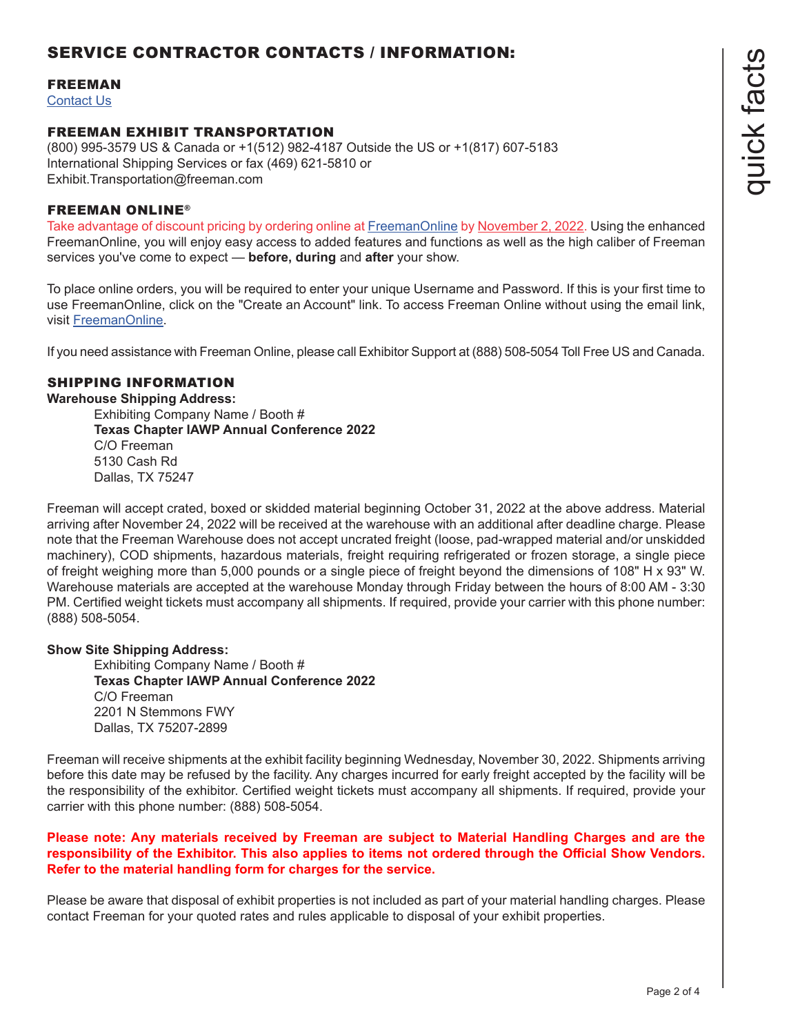# SERVICE CONTRACTOR CONTACTS / INFORMATION:

#### FREEMAN

[Contact Us](https://www.freemanco.com/store/faqs#contactUS)

#### FREEMAN EXHIBIT TRANSPORTATION

(800) 995-3579 US & Canada or +1(512) 982-4187 Outside the US or +1(817) 607-5183 International Shipping Services or fax (469) 621-5810 or Exhibit.Transportation@freeman.com

#### FREEMAN ONLINE®

Take advantage of discount pricing by ordering online at [FreemanOnline](https://www.freemanco.com/store?utm_source=Forms&utm_medium=PDF) by November 2, 2022. Using the enhanced FreemanOnline, you will enjoy easy access to added features and functions as well as the high caliber of Freeman services you've come to expect — **before, during** and **after** your show.

To place online orders, you will be required to enter your unique Username and Password. If this is your first time to use FreemanOnline, click on the "Create an Account" link. To access Freeman Online without using the email link, visit [FreemanOnline.](https://www.freemanco.com/store?utm_source=Forms&utm_medium=PDF)

If you need assistance with Freeman Online, please call Exhibitor Support at (888) 508-5054 Toll Free US and Canada.

### SHIPPING INFORMATION

#### **Warehouse Shipping Address:**

Exhibiting Company Name / Booth # **Texas Chapter IAWP Annual Conference 2022** C/O Freeman 5130 Cash Rd Dallas, TX 75247

Freeman will accept crated, boxed or skidded material beginning October 31, 2022 at the above address. Material arriving after November 24, 2022 will be received at the warehouse with an additional after deadline charge. Please note that the Freeman Warehouse does not accept uncrated freight (loose, pad-wrapped material and/or unskidded machinery), COD shipments, hazardous materials, freight requiring refrigerated or frozen storage, a single piece of freight weighing more than 5,000 pounds or a single piece of freight beyond the dimensions of 108" H x 93" W. Warehouse materials are accepted at the warehouse Monday through Friday between the hours of 8:00 AM - 3:30 PM. Certified weight tickets must accompany all shipments. If required, provide your carrier with this phone number: (888) 508-5054.

#### **Show Site Shipping Address:**

Exhibiting Company Name / Booth # **Texas Chapter IAWP Annual Conference 2022** C/O Freeman 2201 N Stemmons FWY Dallas, TX 75207-2899

Freeman will receive shipments at the exhibit facility beginning Wednesday, November 30, 2022. Shipments arriving before this date may be refused by the facility. Any charges incurred for early freight accepted by the facility will be the responsibility of the exhibitor. Certified weight tickets must accompany all shipments. If required, provide your carrier with this phone number: (888) 508-5054.

#### **Please note: Any materials received by Freeman are subject to Material Handling Charges and are the responsibility of the Exhibitor. This also applies to items not ordered through the Official Show Vendors. Refer to the material handling form for charges for the service.**

Please be aware that disposal of exhibit properties is not included as part of your material handling charges. Please contact Freeman for your quoted rates and rules applicable to disposal of your exhibit properties.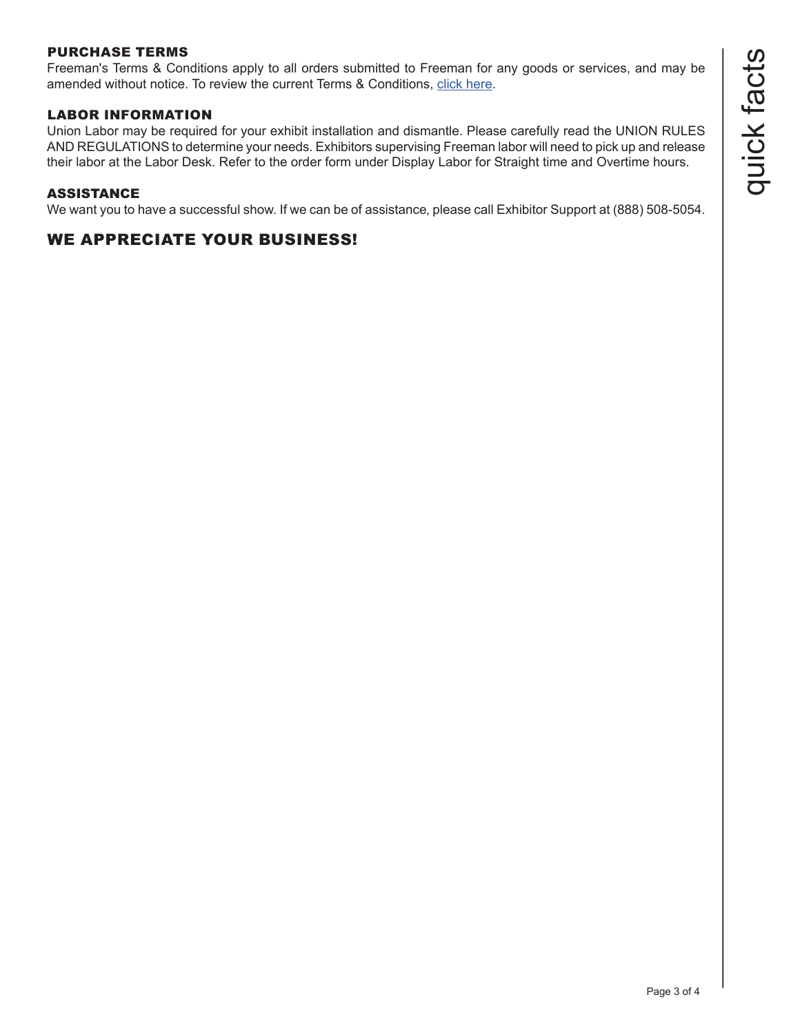# PURCHASE TERMS

Freeman's Terms & Conditions apply to all orders submitted to Freeman for any goods or services, and may be amended without notice. To review the current Terms & Conditions, [click here.](https://www.freemanco.com/store/footerPages/footerPagesProfileFrame.jsp?page=purchaseTerms&_ga=2.176437029.1419744130.1584226036-1715307741.1584226036)

## LABOR INFORMATION

Union Labor may be required for your exhibit installation and dismantle. Please carefully read the UNION RULES AND REGULATIONS to determine your needs. Exhibitors supervising Freeman labor will need to pick up and release their labor at the Labor Desk. Refer to the order form under Display Labor for Straight time and Overtime hours.

### ASSISTANCE

We want you to have a successful show. If we can be of assistance, please call Exhibitor Support at (888) 508-5054.

# WE APPRECIATE YOUR BUSINESS!